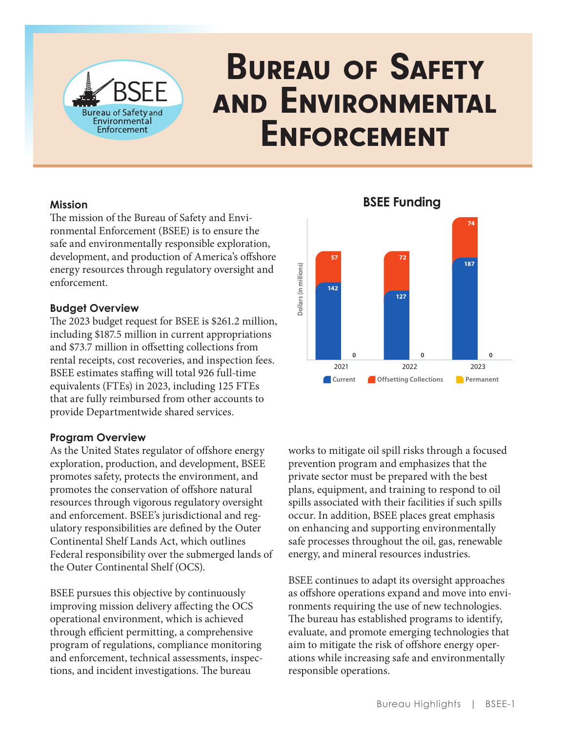

# Bureau of Safety and Environmental **ENFORCEMENT**

#### **Mission**

The mission of the Bureau of Safety and Environmental Enforcement (BSEE) is to ensure the safe and environmentally responsible exploration, development, and production of America's offshore energy resources through regulatory oversight and enforcement.

#### **Budget Overview**

The 2023 budget request for BSEE is \$261.2 million, including \$187.5 million in current appropriations and \$73.7 million in offsetting collections from rental receipts, cost recoveries, and inspection fees . BSEE estimates staffing will total 926 full-time equivalents (FTEs) in 2023, including 125 FTEs that are fully reimbursed from other accounts to provide Departmentwide shared services .

## **Program Overview**

As the United States regulator of offshore energy exploration, production, and development, BSEE promotes safety, protects the environment, and promotes the conservation of offshore natural resources through vigorous regulatory oversight and enforcement. BSEE's jurisdictional and regulatory responsibilities are defined by the Outer Continental Shelf Lands Act, which outlines Federal responsibility over the submerged lands of the Outer Continental Shelf (OCS) .

BSEE pursues this objective by continuously improving mission delivery affecting the OCS operational environment, which is achieved through efficient permitting, a comprehensive program of regulations, compliance monitoring and enforcement, technical assessments, inspections, and incident investigations . The bureau



works to mitigate oil spill risks through a focused prevention program and emphasizes that the private sector must be prepared with the best plans, equipment, and training to respond to oil spills associated with their facilities if such spills occur. In addition, BSEE places great emphasis on enhancing and supporting environmentally safe processes throughout the oil, gas, renewable energy, and mineral resources industries.

BSEE continues to adapt its oversight approaches as offshore operations expand and move into environments requiring the use of new technologies. The bureau has established programs to identify, evaluate, and promote emerging technologies that aim to mitigate the risk of offshore energy operations while increasing safe and environmentally responsible operations.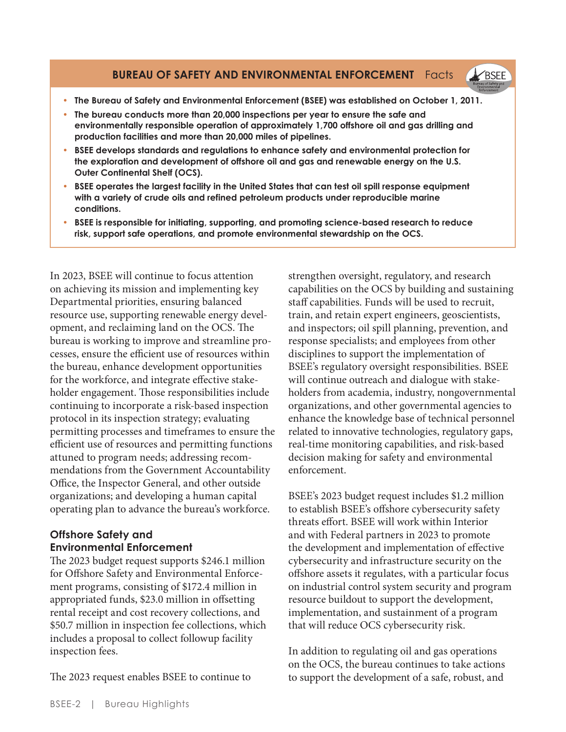## **BUREAU OF SAFETY AND ENVIRONMENTAL ENFORCEMENT** Facts

- **• The Bureau of Safety and Environmental Enforcement (BSEE) was established on October 1, 2011.**
- **• The bureau conducts more than 20,000 inspections per year to ensure the safe and environmentally responsible operation of approximately 1,700 offshore oil and gas drilling and production facilities and more than 20,000 miles of pipelines.**
- **• BSEE develops standards and regulations to enhance safety and environmental protection for the exploration and development of offshore oil and gas and renewable energy on the U.S. Outer Continental Shelf (OCS).**
- **• BSEE operates the largest facility in the United States that can test oil spill response equipment with a variety of crude oils and refined petroleum products under reproducible marine conditions.**
- **• BSEE is responsible for initiating, supporting, and promoting science-based research to reduce risk, support safe operations, and promote environmental stewardship on the OCS.**

In 2023, BSEE will continue to focus attention on achieving its mission and implementing key Departmental priorities, ensuring balanced resource use, supporting renewable energy development, and reclaiming land on the OCS . The bureau is working to improve and streamline processes, ensure the efficient use of resources within the bureau, enhance development opportunities for the workforce, and integrate effective stakeholder engagement. Those responsibilities include continuing to incorporate a risk-based inspection protocol in its inspection strategy; evaluating permitting processes and timeframes to ensure the efficient use of resources and permitting functions attuned to program needs; addressing recommendations from the Government Accountability Office, the Inspector General, and other outside organizations; and developing a human capital operating plan to advance the bureau's workforce .

## **Offshore Safety and Environmental Enforcement**

The 2023 budget request supports \$246 .1 million for Offshore Safety and Environmental Enforcement programs, consisting of \$172 .4 million in appropriated funds, \$23 .0 million in offsetting rental receipt and cost recovery collections, and \$50.7 million in inspection fee collections, which includes a proposal to collect followup facility inspection fees .

The 2023 request enables BSEE to continue to

strengthen oversight, regulatory, and research capabilities on the OCS by building and sustaining staff capabilities . Funds will be used to recruit, train, and retain expert engineers, geoscientists, and inspectors; oil spill planning, prevention, and response specialists; and employees from other disciplines to support the implementation of BSEE's regulatory oversight responsibilities . BSEE will continue outreach and dialogue with stakeholders from academia, industry, nongovernmental organizations, and other governmental agencies to enhance the knowledge base of technical personnel related to innovative technologies, regulatory gaps, real-time monitoring capabilities, and risk-based decision making for safety and environmental enforcement.

**A**BSEE

BSEE's 2023 budget request includes \$1.2 million to establish BSEE's offshore cybersecurity safety threats effort. BSEE will work within Interior and with Federal partners in 2023 to promote the development and implementation of effective cybersecurity and infrastructure security on the offshore assets it regulates, with a particular focus on industrial control system security and program resource buildout to support the development, implementation, and sustainment of a program that will reduce OCS cybersecurity risk .

In addition to regulating oil and gas operations on the OCS, the bureau continues to take actions to support the development of a safe, robust, and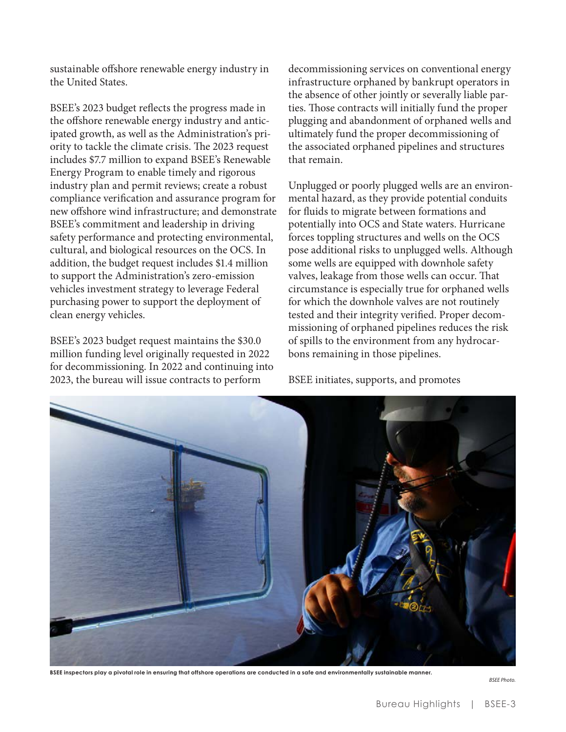sustainable offshore renewable energy industry in the United States.

BSEE's 2023 budget reflects the progress made in the offshore renewable energy industry and anticipated growth, as well as the Administration's priority to tackle the climate crisis. The 2023 request includes \$7.7 million to expand BSEE's Renewable Energy Program to enable timely and rigorous industry plan and permit reviews; create a robust compliance verification and assurance program for new offshore wind infrastructure; and demonstrate BSEE's commitment and leadership in driving safety performance and protecting environmental, cultural, and biological resources on the OCS. In addition, the budget request includes \$1.4 million to support the Administration's zero-emission vehicles investment strategy to leverage Federal purchasing power to support the deployment of clean energy vehicles.

BSEE's 2023 budget request maintains the \$30.0 million funding level originally requested in 2022 for decommissioning. In 2022 and continuing into 2023, the bureau will issue contracts to perform

decommissioning services on conventional energy infrastructure orphaned by bankrupt operators in the absence of other jointly or severally liable parties. Those contracts will initially fund the proper plugging and abandonment of orphaned wells and ultimately fund the proper decommissioning of the associated orphaned pipelines and structures that remain.

Unplugged or poorly plugged wells are an environmental hazard, as they provide potential conduits for fluids to migrate between formations and potentially into OCS and State waters. Hurricane forces toppling structures and wells on the OCS pose additional risks to unplugged wells. Although some wells are equipped with downhole safety valves, leakage from those wells can occur. That circumstance is especially true for orphaned wells for which the downhole valves are not routinely tested and their integrity verified. Proper decommissioning of orphaned pipelines reduces the risk of spills to the environment from any hydrocarbons remaining in those pipelines.

#### BSEE initiates, supports, and promotes



**BSEE inspectors play a pivotal role in ensuring that offshore operations are conducted in a safe and environmentally sustainable manner.**

*BSEE Photo.*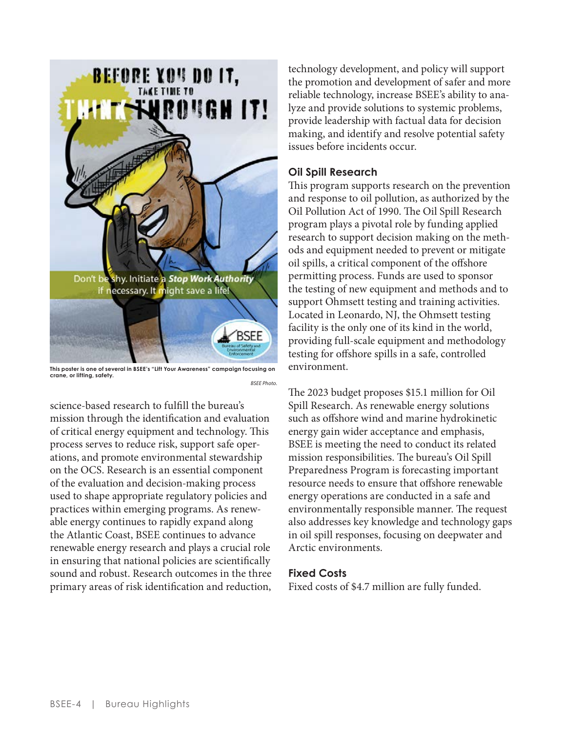

**This poster is one of several in BSEE's "Lift Your Awareness" campaign focusing on crane, or lifting, safety.** *BSEE Photo.*

science-based research to fulfill the bureau's mission through the identification and evaluation of critical energy equipment and technology. This process serves to reduce risk, support safe operations, and promote environmental stewardship on the OCS. Research is an essential component of the evaluation and decision-making process used to shape appropriate regulatory policies and practices within emerging programs. As renewable energy continues to rapidly expand along the Atlantic Coast, BSEE continues to advance renewable energy research and plays a crucial role in ensuring that national policies are scientifically sound and robust. Research outcomes in the three primary areas of risk identification and reduction,

technology development, and policy will support the promotion and development of safer and more reliable technology, increase BSEE's ability to analyze and provide solutions to systemic problems, provide leadership with factual data for decision making, and identify and resolve potential safety issues before incidents occur.

## **Oil Spill Research**

This program supports research on the prevention and response to oil pollution, as authorized by the Oil Pollution Act of 1990. The Oil Spill Research program plays a pivotal role by funding applied research to support decision making on the methods and equipment needed to prevent or mitigate oil spills, a critical component of the offshore permitting process. Funds are used to sponsor the testing of new equipment and methods and to support Ohmsett testing and training activities. Located in Leonardo, NJ, the Ohmsett testing facility is the only one of its kind in the world, providing full-scale equipment and methodology testing for offshore spills in a safe, controlled environment.

The 2023 budget proposes \$15.1 million for Oil Spill Research. As renewable energy solutions such as offshore wind and marine hydrokinetic energy gain wider acceptance and emphasis, BSEE is meeting the need to conduct its related mission responsibilities. The bureau's Oil Spill Preparedness Program is forecasting important resource needs to ensure that offshore renewable energy operations are conducted in a safe and environmentally responsible manner. The request also addresses key knowledge and technology gaps in oil spill responses, focusing on deepwater and Arctic environments.

## **Fixed Costs**

Fixed costs of \$4.7 million are fully funded.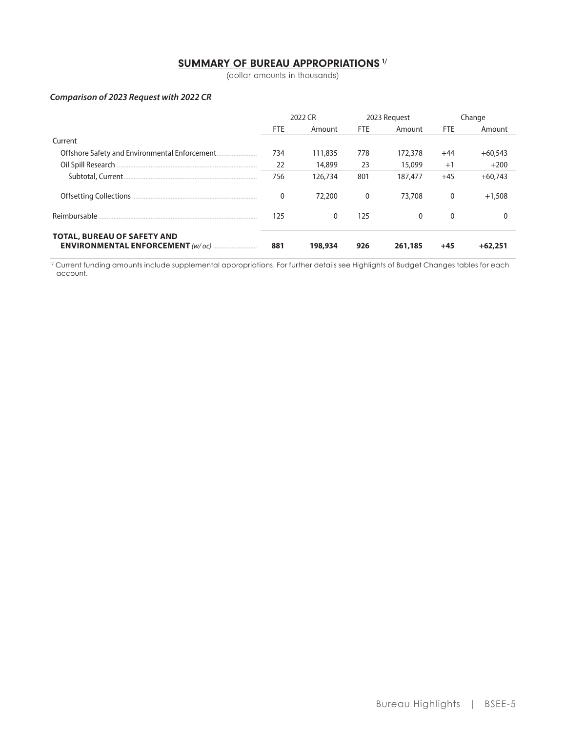## **SUMMARY OF BUREAU APPROPRIATIONS 1/**

(dollar amounts in thousands)

#### Comparison of 2023 Request with 2022 CR

|                                    | 2022 CR      |          | 2023 Request |              | Change      |           |
|------------------------------------|--------------|----------|--------------|--------------|-------------|-----------|
|                                    | <b>FTE</b>   | Amount   | <b>FTE</b>   | Amount       | <b>FTE</b>  | Amount    |
| Current                            |              |          |              |              |             |           |
|                                    | 734          | 111,835  | 778          | 172,378      | $+44$       | $+60,543$ |
|                                    | 22           | 14,899   | 23           | 15,099       | $+1$        | $+200$    |
|                                    | 756          | 126,734  | 801          | 187,477      | $+45$       | $+60.743$ |
|                                    | $\mathbf{0}$ | 72,200   | $\mathbf{0}$ | 73,708       | 0           | $+1,508$  |
| Reimbursable                       | 125          | $\Omega$ | 125          | $\mathbf{0}$ | $\mathbf 0$ |           |
| <b>TOTAL, BUREAU OF SAFETY AND</b> | 881          | 198,934  | 926          | 261,185      | $+45$       | $+62.251$ |

<sup>1/</sup> Current funding amounts include supplemental appropriations. For further details see Highlights of Budget Changes tables for each account.